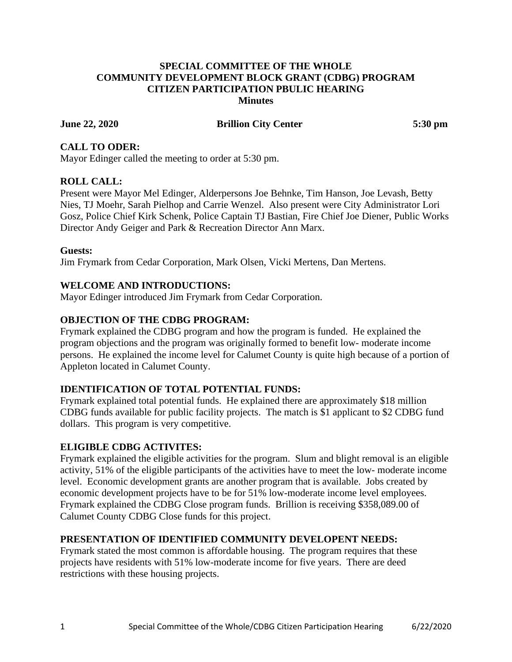### **SPECIAL COMMITTEE OF THE WHOLE COMMUNITY DEVELOPMENT BLOCK GRANT (CDBG) PROGRAM CITIZEN PARTICIPATION PBULIC HEARING Minutes**

### **June 22, 2020 Brillion City Center 5:30 pm**

# **CALL TO ODER:**

Mayor Edinger called the meeting to order at 5:30 pm.

### **ROLL CALL:**

Present were Mayor Mel Edinger, Alderpersons Joe Behnke, Tim Hanson, Joe Levash, Betty Nies, TJ Moehr, Sarah Pielhop and Carrie Wenzel. Also present were City Administrator Lori Gosz, Police Chief Kirk Schenk, Police Captain TJ Bastian, Fire Chief Joe Diener, Public Works Director Andy Geiger and Park & Recreation Director Ann Marx.

#### **Guests:**

Jim Frymark from Cedar Corporation, Mark Olsen, Vicki Mertens, Dan Mertens.

### **WELCOME AND INTRODUCTIONS:**

Mayor Edinger introduced Jim Frymark from Cedar Corporation.

### **OBJECTION OF THE CDBG PROGRAM:**

Frymark explained the CDBG program and how the program is funded. He explained the program objections and the program was originally formed to benefit low- moderate income persons. He explained the income level for Calumet County is quite high because of a portion of Appleton located in Calumet County.

#### **IDENTIFICATION OF TOTAL POTENTIAL FUNDS:**

Frymark explained total potential funds. He explained there are approximately \$18 million CDBG funds available for public facility projects. The match is \$1 applicant to \$2 CDBG fund dollars. This program is very competitive.

#### **ELIGIBLE CDBG ACTIVITES:**

Frymark explained the eligible activities for the program. Slum and blight removal is an eligible activity, 51% of the eligible participants of the activities have to meet the low- moderate income level. Economic development grants are another program that is available. Jobs created by economic development projects have to be for 51% low-moderate income level employees. Frymark explained the CDBG Close program funds. Brillion is receiving \$358,089.00 of Calumet County CDBG Close funds for this project.

#### **PRESENTATION OF IDENTIFIED COMMUNITY DEVELOPENT NEEDS:**

Frymark stated the most common is affordable housing. The program requires that these projects have residents with 51% low-moderate income for five years. There are deed restrictions with these housing projects.